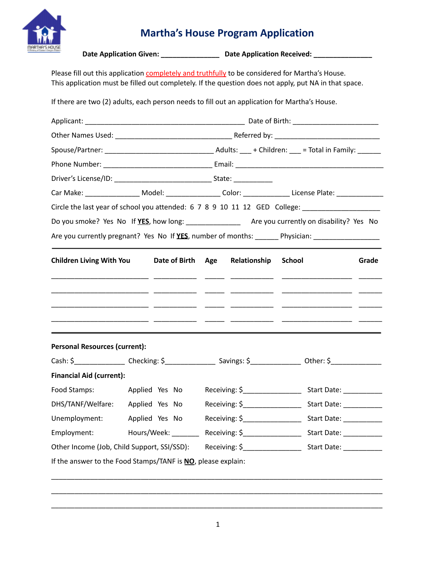

# **Martha's House Program Application**

|                                             |                                                                                                                    | Date Application Given: _____________________ Date Application Received: _____________          |                                                                                                                |  |  |  |  |
|---------------------------------------------|--------------------------------------------------------------------------------------------------------------------|-------------------------------------------------------------------------------------------------|----------------------------------------------------------------------------------------------------------------|--|--|--|--|
|                                             |                                                                                                                    | Please fill out this application completely and truthfully to be considered for Martha's House. | This application must be filled out completely. If the question does not apply, put NA in that space.          |  |  |  |  |
|                                             |                                                                                                                    | If there are two (2) adults, each person needs to fill out an application for Martha's House.   |                                                                                                                |  |  |  |  |
|                                             |                                                                                                                    |                                                                                                 |                                                                                                                |  |  |  |  |
|                                             |                                                                                                                    |                                                                                                 |                                                                                                                |  |  |  |  |
|                                             |                                                                                                                    |                                                                                                 |                                                                                                                |  |  |  |  |
|                                             |                                                                                                                    |                                                                                                 |                                                                                                                |  |  |  |  |
|                                             |                                                                                                                    |                                                                                                 |                                                                                                                |  |  |  |  |
|                                             |                                                                                                                    |                                                                                                 | Car Make: ____________________ Model: _____________________ Color: _________________License Plate: ___________ |  |  |  |  |
|                                             |                                                                                                                    |                                                                                                 | Circle the last year of school you attended: 6 7 8 9 10 11 12 GED College: _________________________           |  |  |  |  |
|                                             |                                                                                                                    |                                                                                                 |                                                                                                                |  |  |  |  |
|                                             |                                                                                                                    |                                                                                                 | Are you currently pregnant? Yes No If YES, number of months: _______ Physician: ___________________            |  |  |  |  |
| <b>Children Living With You</b>             | Date of Birth Age                                                                                                  | Relationship                                                                                    | <b>School</b><br>Grade                                                                                         |  |  |  |  |
|                                             |                                                                                                                    |                                                                                                 |                                                                                                                |  |  |  |  |
| <b>Personal Resources (current):</b>        |                                                                                                                    |                                                                                                 |                                                                                                                |  |  |  |  |
|                                             | Cash: \$_____________________Checking: \$___________________Savings: \$____________________Other: \$______________ |                                                                                                 |                                                                                                                |  |  |  |  |
| <b>Financial Aid (current):</b>             |                                                                                                                    |                                                                                                 |                                                                                                                |  |  |  |  |
| Food Stamps:                                | Applied Yes No                                                                                                     | Receiving: $\frac{2}{3}$ [100]                                                                  | Start Date: ___________                                                                                        |  |  |  |  |
| DHS/TANF/Welfare:                           | Applied Yes No                                                                                                     | Receiving: \$___________________                                                                | Start Date: __________                                                                                         |  |  |  |  |
| Unemployment:                               | Applied Yes No                                                                                                     | Receiving: $\zeta$ _______________                                                              | Start Date: __________                                                                                         |  |  |  |  |
| Employment:                                 |                                                                                                                    |                                                                                                 | Hours/Week: __________ Receiving: \$_____________________ Start Date: ___________                              |  |  |  |  |
| Other Income (Job, Child Support, SSI/SSD): |                                                                                                                    |                                                                                                 |                                                                                                                |  |  |  |  |
|                                             | If the answer to the Food Stamps/TANF is NO, please explain:                                                       |                                                                                                 |                                                                                                                |  |  |  |  |

\_\_\_\_\_\_\_\_\_\_\_\_\_\_\_\_\_\_\_\_\_\_\_\_\_\_\_\_\_\_\_\_\_\_\_\_\_\_\_\_\_\_\_\_\_\_\_\_\_\_\_\_\_\_\_\_\_\_\_\_\_\_\_\_\_\_\_\_\_\_\_\_\_\_\_\_\_\_\_\_\_\_\_\_\_

\_\_\_\_\_\_\_\_\_\_\_\_\_\_\_\_\_\_\_\_\_\_\_\_\_\_\_\_\_\_\_\_\_\_\_\_\_\_\_\_\_\_\_\_\_\_\_\_\_\_\_\_\_\_\_\_\_\_\_\_\_\_\_\_\_\_\_\_\_\_\_\_\_\_\_\_\_\_\_\_\_\_\_\_\_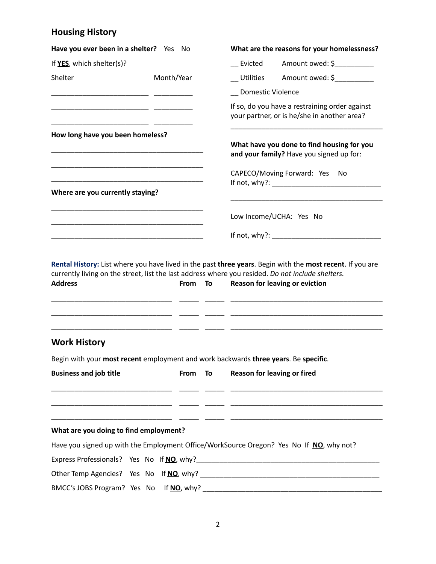### **Housing History**

| Have you ever been in a shelter? Yes No                                                                             |            |    |                   | What are the reasons for your homelessness?                                                               |
|---------------------------------------------------------------------------------------------------------------------|------------|----|-------------------|-----------------------------------------------------------------------------------------------------------|
| If YES, which shelter(s)?                                                                                           |            |    | Evicted           | Amount owed: \$____________                                                                               |
| Shelter                                                                                                             | Month/Year |    |                   | Utilities Amount owed: \$                                                                                 |
|                                                                                                                     |            |    | Domestic Violence |                                                                                                           |
|                                                                                                                     |            |    |                   | If so, do you have a restraining order against<br>your partner, or is he/she in another area?             |
| How long have you been homeless?                                                                                    |            |    |                   | What have you done to find housing for you<br>and your family? Have you signed up for:                    |
|                                                                                                                     |            |    |                   | CAPECO/Moving Forward: Yes<br>- No                                                                        |
| Where are you currently staying?                                                                                    |            |    |                   |                                                                                                           |
|                                                                                                                     |            |    |                   | Low Income/UCHA: Yes No                                                                                   |
|                                                                                                                     |            |    |                   |                                                                                                           |
|                                                                                                                     |            |    |                   | If not, why?: $\_\_\_\_\_\_\_\_\_\_\_\_\_\_\_\_\_\_\_$                                                    |
| currently living on the street, list the last address where you resided. Do not include shelters.<br><b>Address</b> | From       | To |                   | Reason for leaving or eviction                                                                            |
| <b>Work History</b>                                                                                                 |            |    |                   | Rental History: List where you have lived in the past three years. Begin with the most recent. If you are |
| Begin with your most recent employment and work backwards three years. Be specific.                                 |            |    |                   |                                                                                                           |

#### **What are you doing to find employment?**

|                                           |  | Have you signed up with the Employment Office/WorkSource Oregon? Yes No If NO, why not? |
|-------------------------------------------|--|-----------------------------------------------------------------------------------------|
| Express Professionals? Yes No If NO, why? |  |                                                                                         |
| Other Temp Agencies? Yes No If NO, why?   |  |                                                                                         |
| BMCC's JOBS Program? Yes No If NO, why?   |  |                                                                                         |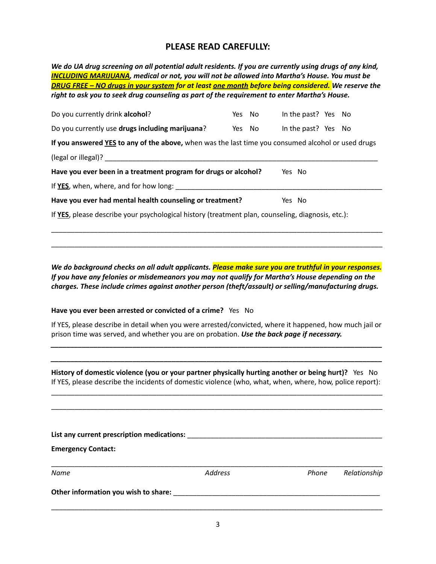#### **PLEASE READ CAREFULLY:**

We do UA drug screening on all potential adult residents. If you are currently using drugs of any kind, *INCLUDING MARIJUANA, medical or not, you will not be allowed into Martha's House. You must be* **DRUG FREE - NO drugs in your system for at least <u>one month</u> before being considered. We reserve the** *right to ask you to seek drug counseling as part of the requirement to enter Martha's House.*

| Do you currently drink alcohol?                                                                    | Yes No |  | In the past? Yes No |  |  |  |
|----------------------------------------------------------------------------------------------------|--------|--|---------------------|--|--|--|
| Do you currently use drugs including marijuana?                                                    | Yes No |  | In the past? Yes No |  |  |  |
| If you answered YES to any of the above, when was the last time you consumed alcohol or used drugs |        |  |                     |  |  |  |
|                                                                                                    |        |  |                     |  |  |  |
| Have you ever been in a treatment program for drugs or alcohol?<br>Yes No                          |        |  |                     |  |  |  |
| If YES, when, where, and for how long:                                                             |        |  |                     |  |  |  |
| Have you ever had mental health counseling or treatment?                                           |        |  | Yes No              |  |  |  |
| If YES, please describe your psychological history (treatment plan, counseling, diagnosis, etc.):  |        |  |                     |  |  |  |

*We do background checks on all adult applicants. Please make sure you are truthful in your responses. If you have any felonies or misdemeanors you may not qualify for Martha's House depending on the charges. These include crimes against another person (theft/assault) or selling/manufacturing drugs.*

\_\_\_\_\_\_\_\_\_\_\_\_\_\_\_\_\_\_\_\_\_\_\_\_\_\_\_\_\_\_\_\_\_\_\_\_\_\_\_\_\_\_\_\_\_\_\_\_\_\_\_\_\_\_\_\_\_\_\_\_\_\_\_\_\_\_\_\_\_\_\_\_\_\_\_\_\_\_\_\_\_\_\_\_\_

\_\_\_\_\_\_\_\_\_\_\_\_\_\_\_\_\_\_\_\_\_\_\_\_\_\_\_\_\_\_\_\_\_\_\_\_\_\_\_\_\_\_\_\_\_\_\_\_\_\_\_\_\_\_\_\_\_\_\_\_\_\_\_\_\_\_\_\_\_\_\_\_\_\_\_\_\_\_\_\_\_\_\_\_\_

**Have you ever been arrested or convicted of a crime?** Yes No

If YES, please describe in detail when you were arrested/convicted, where it happened, how much jail or prison time was served, and whether you are on probation. *Use the back page if necessary.*

*\_\_\_\_\_\_\_\_\_\_\_\_\_\_\_\_\_\_\_\_\_\_\_\_\_\_\_\_\_\_\_\_\_\_\_\_\_\_\_\_\_\_\_\_\_\_\_\_\_\_\_\_\_\_\_\_\_\_\_\_\_\_\_\_\_\_\_\_\_\_\_\_\_\_\_\_\_\_\_\_\_\_\_\_\_*

*\_\_\_\_\_\_\_\_\_\_\_\_\_\_\_\_\_\_\_\_\_\_\_\_\_\_\_\_\_\_\_\_\_\_\_\_\_\_\_\_\_\_\_\_\_\_\_\_\_\_\_\_\_\_\_\_\_\_\_\_\_\_\_\_\_\_\_\_\_\_\_\_\_\_\_\_\_\_\_\_\_\_\_\_\_*

**History of domestic violence (you or your partner physically hurting another or being hurt)?** Yes No If YES, please describe the incidents of domestic violence (who, what, when, where, how, police report):

\_\_\_\_\_\_\_\_\_\_\_\_\_\_\_\_\_\_\_\_\_\_\_\_\_\_\_\_\_\_\_\_\_\_\_\_\_\_\_\_\_\_\_\_\_\_\_\_\_\_\_\_\_\_\_\_\_\_\_\_\_\_\_\_\_\_\_\_\_\_\_\_\_\_\_\_\_\_\_\_\_\_\_\_\_

\_\_\_\_\_\_\_\_\_\_\_\_\_\_\_\_\_\_\_\_\_\_\_\_\_\_\_\_\_\_\_\_\_\_\_\_\_\_\_\_\_\_\_\_\_\_\_\_\_\_\_\_\_\_\_\_\_\_\_\_\_\_\_\_\_\_\_\_\_\_\_\_\_\_\_\_\_\_\_\_\_\_\_\_\_

| List any current prescription medications: |                |       |              |
|--------------------------------------------|----------------|-------|--------------|
| <b>Emergency Contact:</b>                  |                |       |              |
| Name                                       | <b>Address</b> | Phone | Relationship |
| Other information you wish to share:       |                |       |              |
|                                            |                |       |              |